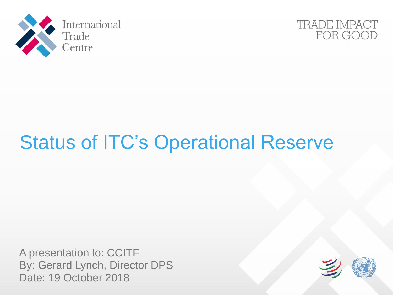



## Status of ITC's Operational Reserve

A presentation to: CCITF By: Gerard Lynch, Director DPS Date: 19 October 2018

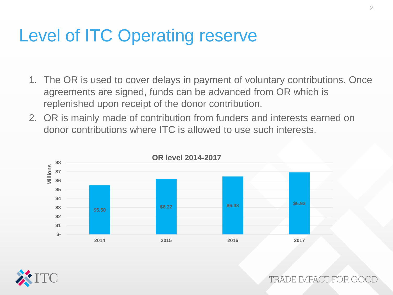## Level of ITC Operating reserve

- 1. The OR is used to cover delays in payment of voluntary contributions. Once agreements are signed, funds can be advanced from OR which is replenished upon receipt of the donor contribution.
- 2. OR is mainly made of contribution from funders and interests earned on donor contributions where ITC is allowed to use such interests.





TRADE IMPACT FOR GO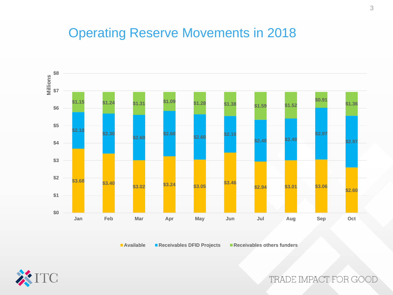## Operating Reserve Movements in 2018



**Available Receivables DFID Projects Receivables others funders**



TRADE IMPACT FOR GOOD